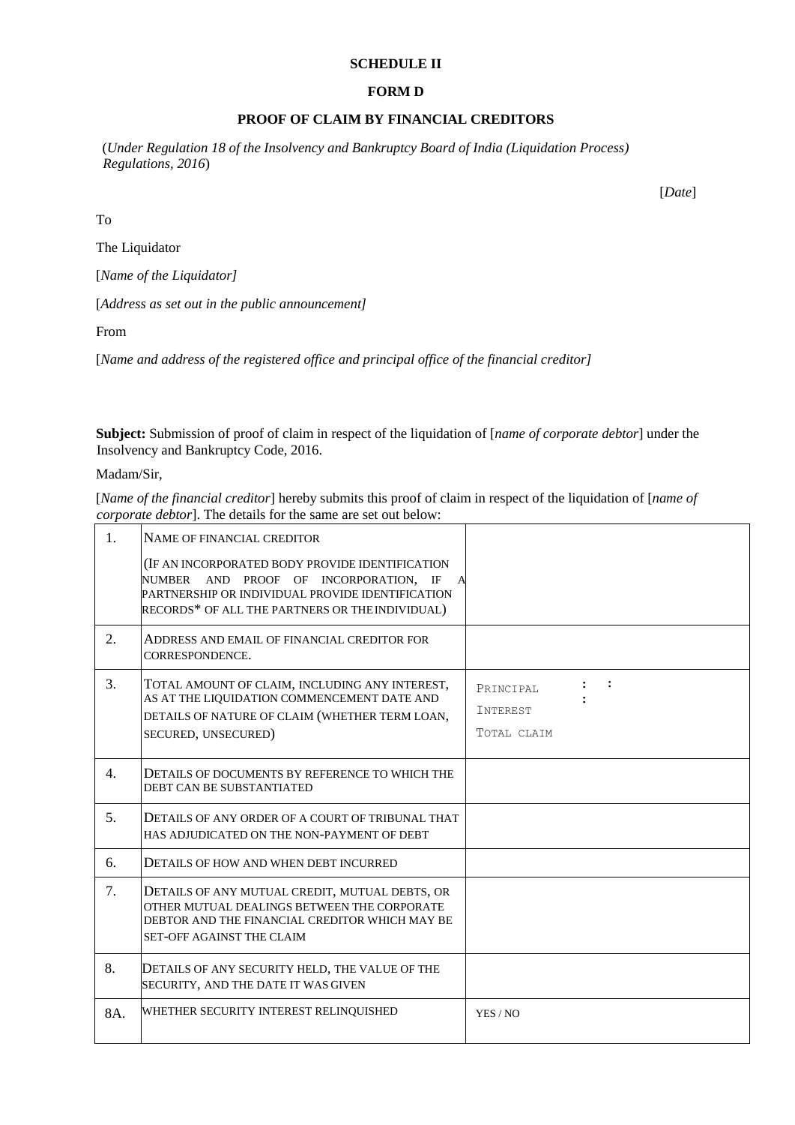### **SCHEDULE II**

#### **FORM D**

## **PROOF OF CLAIM BY FINANCIAL CREDITORS**

(*Under Regulation 18 of the Insolvency and Bankruptcy Board of India (Liquidation Process) Regulations, 2016*)

[*Date*]

To

The Liquidator

[*Name of the Liquidator]*

[*Address as set out in the public announcement]*

From

[*Name and address of the registered office and principal office of the financial creditor]*

**Subject:** Submission of proof of claim in respect of the liquidation of [*name of corporate debtor*] under the Insolvency and Bankruptcy Code, 2016.

Madam/Sir,

[*Name of the financial creditor*] hereby submits this proof of claim in respect of the liquidation of [*name of corporate debtor*]. The details for the same are set out below:

| 1.  | NAME OF FINANCIAL CREDITOR                                                                                                                                                                      |                                                                          |
|-----|-------------------------------------------------------------------------------------------------------------------------------------------------------------------------------------------------|--------------------------------------------------------------------------|
|     | (IF AN INCORPORATED BODY PROVIDE IDENTIFICATION<br>NUMBER AND PROOF OF INCORPORATION. IF<br>PARTNERSHIP OR INDIVIDUAL PROVIDE IDENTIFICATION<br>RECORDS* OF ALL THE PARTNERS OR THE INDIVIDUAL) |                                                                          |
| 2.  | ADDRESS AND EMAIL OF FINANCIAL CREDITOR FOR<br>CORRESPONDENCE.                                                                                                                                  |                                                                          |
| 3.  | TOTAL AMOUNT OF CLAIM, INCLUDING ANY INTEREST,<br>AS AT THE LIQUIDATION COMMENCEMENT DATE AND<br>DETAILS OF NATURE OF CLAIM (WHETHER TERM LOAN,<br>SECURED, UNSECURED)                          | $\mathbf{1}$ $\mathbf{1}$<br>PRINCIPAL<br><b>INTEREST</b><br>TOTAL CLAIM |
| 4.  | DETAILS OF DOCUMENTS BY REFERENCE TO WHICH THE<br>DEBT CAN BE SUBSTANTIATED                                                                                                                     |                                                                          |
| 5.  | DETAILS OF ANY ORDER OF A COURT OF TRIBUNAL THAT<br>HAS ADJUDICATED ON THE NON-PAYMENT OF DEBT                                                                                                  |                                                                          |
| 6.  | DETAILS OF HOW AND WHEN DEBT INCURRED                                                                                                                                                           |                                                                          |
| 7.  | DETAILS OF ANY MUTUAL CREDIT, MUTUAL DEBTS, OR<br>OTHER MUTUAL DEALINGS BETWEEN THE CORPORATE<br>DEBTOR AND THE FINANCIAL CREDITOR WHICH MAY BE<br><b>SET-OFF AGAINST THE CLAIM</b>             |                                                                          |
| 8.  | DETAILS OF ANY SECURITY HELD, THE VALUE OF THE<br>SECURITY, AND THE DATE IT WAS GIVEN                                                                                                           |                                                                          |
| 8A. | WHETHER SECURITY INTEREST RELINQUISHED                                                                                                                                                          | YES / NO                                                                 |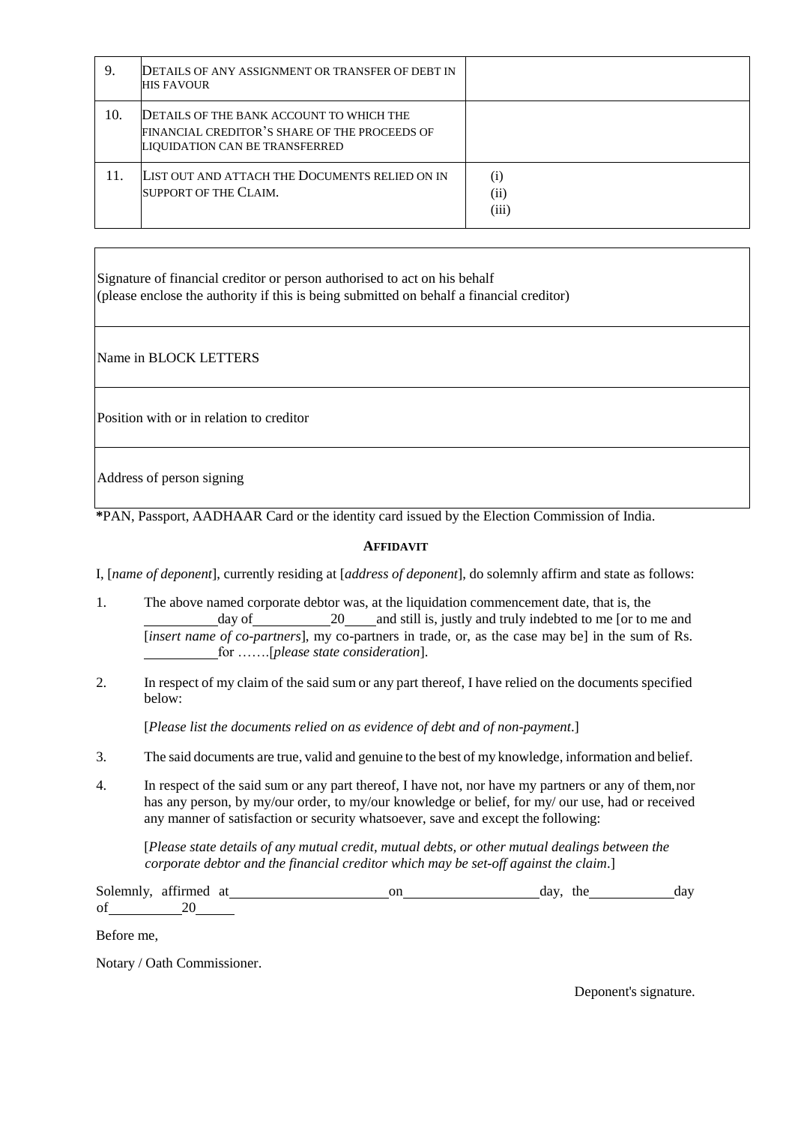| 9.  | DETAILS OF ANY ASSIGNMENT OR TRANSFER OF DEBT IN<br><b>HIS FAVOUR</b>                                                       |                           |
|-----|-----------------------------------------------------------------------------------------------------------------------------|---------------------------|
| 10. | DETAILS OF THE BANK ACCOUNT TO WHICH THE<br>FINANCIAL CREDITOR'S SHARE OF THE PROCEEDS OF<br>LIQUIDATION CAN BE TRANSFERRED |                           |
| 11. | LIST OUT AND ATTACH THE DOCUMENTS RELIED ON IN<br>SUPPORT OF THE CLAIM.                                                     | $\rm(i)$<br>(ii)<br>(iii) |

Signature of financial creditor or person authorised to act on his behalf (please enclose the authority if this is being submitted on behalf a financial creditor)

Name in BLOCK LETTERS

Position with or in relation to creditor

Address of person signing

**\***PAN, Passport, AADHAAR Card or the identity card issued by the Election Commission of India.

### **AFFIDAVIT**

I, [*name of deponent*], currently residing at [*address of deponent*], do solemnly affirm and state as follows:

- 1. The above named corporate debtor was, at the liquidation commencement date, that is, the day of 20 and still is, justly and truly indebted to me [or to me and [*insert name of co-partners*], my co-partners in trade, or, as the case may be] in the sum of Rs. for …….[*please state consideration*].
- 2. In respect of my claim of the said sum or any part thereof, I have relied on the documents specified below:

[*Please list the documents relied on as evidence of debt and of non-payment*.]

- 3. The said documents are true, valid and genuine to the best of my knowledge, information and belief.
- 4. In respect of the said sum or any part thereof, I have not, nor have my partners or any of them,nor has any person, by my/our order, to my/our knowledge or belief, for my/ our use, had or received any manner of satisfaction or security whatsoever, save and except the following:

[*Please state details of any mutual credit, mutual debts, or other mutual dealings between the corporate debtor and the financial creditor which may be set-off against the claim*.]

Solemnly, affirmed at on on day, the day day affirmed at the day on day, the day of 20

Before me,

Notary / Oath Commissioner.

Deponent's signature.